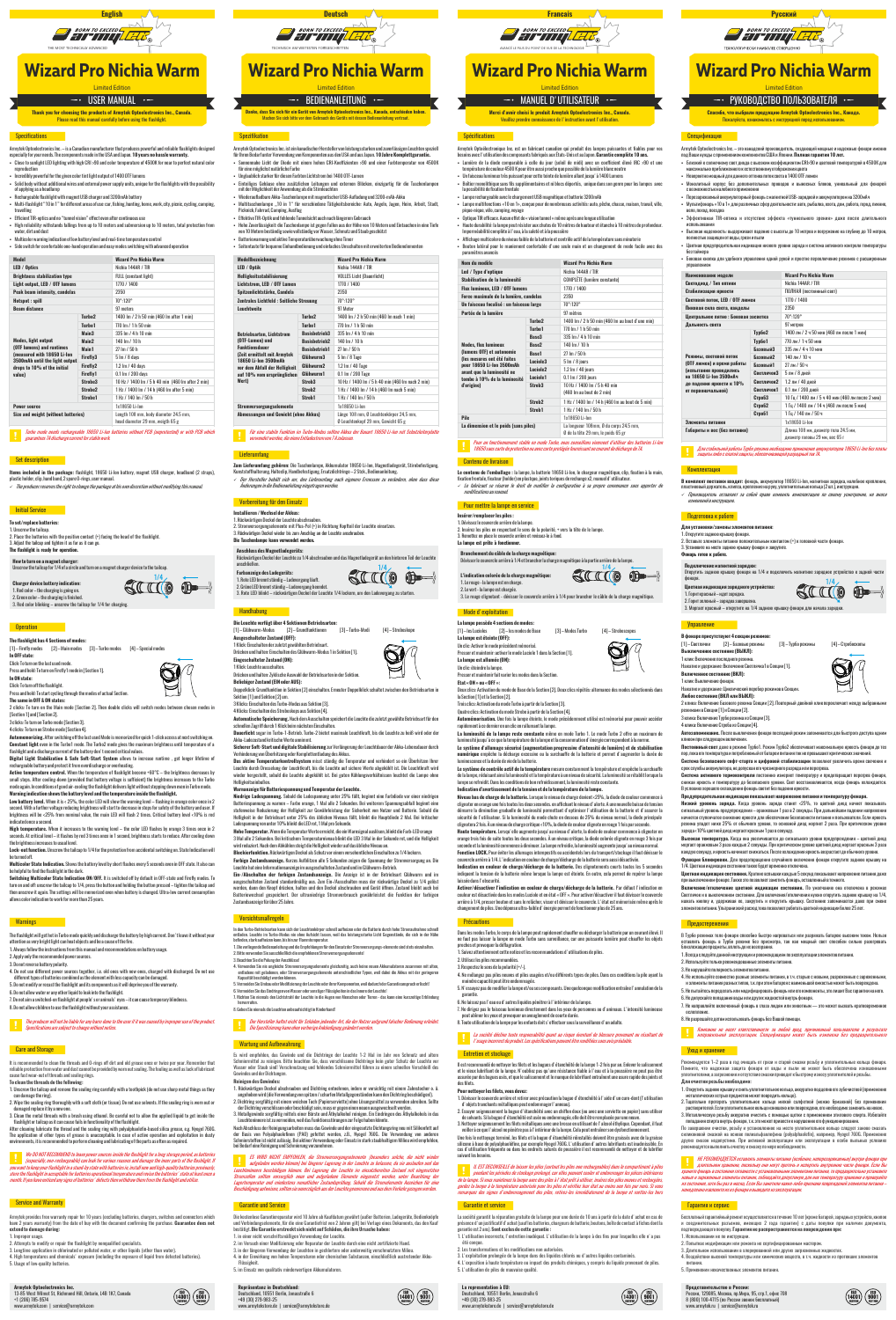

# **Wizard Pro Nichia Warm**

 $\overline{\phantom{a}}$  - USER MANUAL  $\overline{\phantom{a}}$ 

Thank you for choosing the products of Armytek Optoelectronics Inc., Canada.

- Armytek Optoelectronics Inc.— is a Canadian manufacturer that produces powerful and reliable flashlights designed<br>especially for your needs. The components made in the USA and Japan. **10 years no hassle warranty.**<br>- Close
- reproduction<br>Fineradibly nowerful for the given color tint light output of 1400 OTF lumens пользонау рамен он тот ингермен совог или идел оитром от 1400 OTF lumens<br>Solid body without additional wires and external power supply units, unique for the flashlights with the possibilit<br>of applying as a headlamp
- or apprying as a neauramp<br>· Rechargeable flashlight with magnet USB charger and 3200mAh battery
- . Multi-flashlight "10 in 1" for different areas of use: car, fishing, hunting, home, work, city, picnic, cycling, camping
- et avenues<br>Ffficient TIR-ontics and no "tunnel vision" effect even after continuous use -
- 
- High reliability: withstands fallings from up to 10 meters and submersion up to 10 meters, total protection from<br>water, dirt and dust
- .. \_..., ... . . ... . . ... . . ... .<br>• Multicolor warning indication of low hattery level and real-time temperature control Side switch for comfortable one-hand operation and easy modes switching with adva

| <b>Model</b>                                                                                                                                                      |                     | <b>Wizard Pro Nichia Warm</b>                                             |
|-------------------------------------------------------------------------------------------------------------------------------------------------------------------|---------------------|---------------------------------------------------------------------------|
| LED / Optics                                                                                                                                                      |                     | Nichia 144AR / TIR                                                        |
| <b>Brightness stabilization type</b>                                                                                                                              |                     | <b>FULL</b> (constant light)                                              |
| Light output, LED / OTF lumens                                                                                                                                    |                     | 1770 / 1400                                                               |
| Peak beam intensity, candelas                                                                                                                                     |                     | 2350                                                                      |
| Hotspot: spill                                                                                                                                                    |                     | 70°:120°                                                                  |
| <b>Beam distance</b>                                                                                                                                              |                     | 97 meters                                                                 |
|                                                                                                                                                                   | Turbo <sub>2</sub>  | 1400 lm / 2 h 50 min (460 lm after 1 min)                                 |
|                                                                                                                                                                   | Turho1              | 770 lm / 1 h 50 min                                                       |
|                                                                                                                                                                   | Main3               | 335 Im / 4 h 10 min                                                       |
| <b>Modes, light output</b><br>(OTF lumens) and runtimes<br>(measured with 18650 Li-lon<br>3500mAh until the light output<br>drops to 10% of the initial<br>value) | Main <sub>2</sub>   | $140 \ln / 10 h$                                                          |
|                                                                                                                                                                   | Main1               | 27 Im / 50 h                                                              |
|                                                                                                                                                                   | Firefly3            | 5 Im / 8 days                                                             |
|                                                                                                                                                                   | Firefly2            | 1.2 lm / 40 days                                                          |
|                                                                                                                                                                   | Firefly1            | 0.1 lm / 200 days                                                         |
|                                                                                                                                                                   | Strohe3             | 10 Hz / 1400 lm / 5 h 40 min (460 lm after 2 min)                         |
|                                                                                                                                                                   | Strohe <sub>2</sub> | 1 Hz / 1400 lm / 14 h (460 lm after 5 min)                                |
|                                                                                                                                                                   | Strobe1             | 1 Hz / 140 lm / 50 h                                                      |
| <b>Power source</b>                                                                                                                                               |                     | 1x18650 Li-Ion                                                            |
| Size and weight (without batteries)                                                                                                                               |                     | Length 108 mm, body diameter 24.5 mm.<br>head diameter 29 mm, weigth 65 g |

Turbo mode needs rechargeable 18650 Li-lon batteries without PCB (unprotected) or with PCB which

### **Set description**

Items included in the package: flashlight, 18650 Li-lon battery, magnet USB charger, headband (2 straps), The producer reserves the right to change the package at his own discretion without modifying this m

### **Exercise Entitled Enterprise**

To set/replace batteries: 1. Unscrew the tailcap.<br>2. Place the batteries with the positive contact (+) facing the head of the flashlight 3. Adjust the tailcap and tighten it as far as it can go

### The flashlight is ready for operation

**How to turn on a magnet charger:**<br>Unscrew the tailcap for 1/4 of a circle and turn on a magnet charger device to the tailcap

**Charger device battery indication:** our get a control and the charging is going on.<br>
2. Green color – the charging is going on.<br>
3. Red color blinking – unscrew the tailcap for 1/4 for charging.

### **Operation**

The flashlight has 4 Sections of modes [1]-Firefly modes [2]-Main modes [3]-Turbo modes [4]-Special mode In OFF state: Click: To turn on the last used mode



Press and hold: To start cycling through the modes of actual Section. The same in OFF & ON states:

...e same on ver a vn states:<br>2 cilicks: To turn on the Main mode [Section 2]. Then double clicks will switch modes between chosen modes in<br>[Section 1] and [Section2].<br>3 clicks: To turn on Turbo mode [Section 3].

SIIIO OD-

 $\bigotimes\!\!{}'$ 

4 clicks: To turn on Strobe mode [Section 4].

Automemorizing. After switching off the last used Mode is memorized for quick 1-click access at next switching or

Antonie university and the University and the University and the maximum brightness until temperature of a flash result of the University and the University of a flash result of a flash result of a flash result of a flash

rechargeable battery and protect it from overdischarge or overheating. reconsiguate backety and protect it thout were used to determine the behavior of the brightness decreases by<br>**Active temperature control.** When the temperature of flashight become +60°C – the brightness increases to the Tu

mode again. In conditions of good air-cooling the flashlight delivers light without stepping down even in Turbo mode.<br>Warning indication shows the battery level and the temperature inside the flashlight. Level have batter

indicated once a second.<br>High temperature. When it increases to the warning level – the color LED flashes by orange 3 times once in 2<br>seconds. At critical level – it flashes by red 3 times once in 1 second, brightness star the brightness increases to usual level.

the prignates moreases to asian lover.<br>Lock-out function, Unserew the tailcan to 1/4 for the protection from accidental switching on. State Indication will he turned off

be unreason.<br>Multicolor State Indication. Shows the battery level by short flashes every 5 seconds even in OFF state. It also can<br>be helpful to find the flashlight in the dark.<br>Switching Multicolor State Indication ON/OFF.

extractions and off-unseries the tailogs to 1/4, press the button and holding the button pressed – tighten the tailoga and<br>then unscrew it again. The settings will be memorized even when battery is changed. Ultra-low curre

### **Warnings**

The flashlight will get hot in Turbo mode quickly and discharge the battery by high current. Don't leave it without you attention as very bright light can heat objects and be a cause of the fire. 1. Always follow the instructions from this manual and recommendations on battery usage.

2. Apply only the recommended power sources.

3. Do not reverse battery polarity.

or converter and a filter of power sources together, i.e. old ones with new ones, charged with discharged. Do not use<br>different types of batteries combined as the element with less capacity can be damaged.<br>5. Do not modify

6. Do not allow water or any other liquid to leak into the flashlight.



## **Wizard Pro Nichia Warm**

 $\overline{\phantom{a}}$  - Bedienanleitung  $\overline{\phantom{a}}$ 

)<br>Janke, dass Sie sich für ein Gerät von Armytek Optoelectronics Inc., Kanada, entschieden habi

- Armytek Optoelectronics Inc. ist ein kanadischer Hersteller von leistungsstarken und zuverlässigen Leuchten speziell<br>für Ihren Bedarf unter Verwendung von Komponenten aus den USA und aus Japan. **10 Jahre Komplettgarantie.** 
	- iur eine mugnunst naturnune rarbe.<br>Hindoublich etorker für diecen Forbten Lichtetrem bei 1400 OTE. Lumen
	- Unglaublich starker für diesen Farbton Lichtstrom bei 1400 UIF-Lümen<br>Eintelliges Gehäuse ohne zusätzlichen Leitungen und externen Blöcken, einzigartig für die Tasche<br>mit der Möglichkeit der Anwendung als die Stirnleuchten<br>
- Multitaschenlampe "10 in 1" für verschiedene Tätigkeitsbereiche: Auto, Angeln, Jagen, Heim, Arbeit, Stadt,<br>Picknick,Fahrrad,Camping,Ausflug
- Fiftektive TIR-Ontik und fehlende Tunnelsicht auch nach längerem Gebrauch
- Hohe Zuverlässigkeit: die Taschenlampe ist gegen Fallen aus der Höhe von 10 Metern und Eintauchen in eine Tiefe<br>Von 10 Metern beständig sowie vollständig vor Wasser, Schmutz und Staub geschützt
- ron to motorn aestaning sume vanstaning var vrasser, schmutz unt<br>Batteriewarnung und aktive Temperaturüberwachung ohne Timer sacconomaniang and accres remperacaraser maemang onne rimer<br>Seitentaste für bequeme Einhandbedienung und einfaches Umschalten mit erweiterten Bedie

| Modellbezeichnung                                                                                                                   |                      | Wizard Pro Nichia Warm                                                        |
|-------------------------------------------------------------------------------------------------------------------------------------|----------------------|-------------------------------------------------------------------------------|
| LED / Optik                                                                                                                         |                      | Nichia 144AR / TIR                                                            |
| <b>Helligkeitsstabilisierung</b>                                                                                                    |                      | <b>VOLLES Licht (Dauerlicht)</b>                                              |
| Lichtstrom, LED / OTF Lumen                                                                                                         |                      | 1770 / 1400                                                                   |
| Spitzenlichtstärke, Candela                                                                                                         |                      | 2350                                                                          |
| Zentrales Lichtfeld : Seitliche Streuung                                                                                            |                      | 70°:120°                                                                      |
| <b>Leuchtweite</b>                                                                                                                  |                      | 97 Meter                                                                      |
| <b>Betriebsarten, Lichtstrom</b><br>(OTF-Lumen) und<br><b>Funktionsdauer</b><br>(Zeit ermittelt mit Armytek<br>18650 Li-Ion 3500mAh | Turbo <sub>2</sub>   | 1400 lm / 2 h 50 min (460 lm nach 1 min)                                      |
|                                                                                                                                     | Turho1               | 770 lm / 1 h 50 min                                                           |
|                                                                                                                                     | <b>Rasishetrieb3</b> | 335 Im / 4 h 10 min                                                           |
|                                                                                                                                     | <b>Rasishetrieh?</b> | $140 \ln / 10 h$                                                              |
|                                                                                                                                     | <b>Rasishetrieh1</b> | 27 Im / 50 h                                                                  |
|                                                                                                                                     | Gliihwurm3           | 5 Im / 8 Tage                                                                 |
| vor dem Abfall der Helligkeit                                                                                                       | Gliihwurm2           | 1.2 Im / 40 Tage                                                              |
| auf 10% vom ursprünglichen                                                                                                          | Gliihwurm1           | 0.1 lm / 200 Tage                                                             |
| Wert)                                                                                                                               | Stroh3               | 10 Hz / 1400 lm / 5 h 40 min (460 lm nach 2 min)                              |
|                                                                                                                                     | Strob <sub>2</sub>   | 1 Hz / 1400 lm / 14 h (460 lm nach 5 min)                                     |
|                                                                                                                                     | Strob1               | 1 Hz / 140 lm / 50 h                                                          |
| Stromversorgungselemente                                                                                                            |                      | 1x18650 Li-lon                                                                |
| Abmessungen und Gewicht (ohne Akkus)                                                                                                |                      | Länge 108 mm, Ø Leuchtenkörper 24,5 mm,<br>O Leuchtenkopf 29 mm, Gewicht 65 g |

## Für eine stabile Funktion im Turbo-Modus sollten Akkus der Bauart 18650 Li-Ion mit Schutzleiterplatte

### **Lieferumfang**

**Zum Lieferumfang gehören:** Die Taschenlampe, Akkumulator 18650 Li-Jon, Magnetladegerät, Stirnbefestigung, Kunststoffhalterung, Halteclip, Handbefestigung, Ersträtiehtinge- 2 Stok., Bedienanleitung.<br> *V. Der Hersteller beh* 

### Installieren / Wechsel der Akkus:

Vorbereitung für den Einsatz

mstauneren / weensen uer Arkuss:<br>1. Rückwärtigen Deckel der Leuchte abschrauben.<br>2. Stromversorgungselemente mit Plus-Pol (+) in Richtung Kopfteil der Leuchte einsetzen.<br>3. Rückwärtigen Deckel wieder bis zum Anschlag an de

### -<br>Anschluss des Magnetladegeräts:

.......<br>te zu 1/4 abschrauben und das Magnetladegerät an den hinteren Teil der Leucht: Farbanzeige des Ladegeräts: SIIIO OD-

ranuancenge uses Lauergerats:<br>
1. Rote LED bremnt ständig – Laderorgang läuft.<br>
2. Gridne LED bremnt ständig – Laderorgang beendet.<br>
3. Rote LED blinkt – rückwärtigen Deckel der Leuchte 1/4 lockern, um den Laderorgang zu s

Die Leuchte verfügt über 4 Sektionen Betriebsarten: [1]-Glühwurm-Modus [2]-Grundfunktionen [3]-Turbo-Modi [4]-Stroboskope



r Knex: Leucine ausscrianen.<br>Drücken und halten: Zyklische Auswahl der Betriebsarten in der Sektion<br>**Beliebiger Zustand (EIN oder AUS):** -<br>- Doppelklick: Grundfunktion in Sektion [2] einschalten. Erneuter Doppelklick schaltet zwischen den Betriebsarten in

Sektion [1] und Sektion [2] um. 3 Klicks: Finschalten des Turbo-Modus aus Sektion [3]

 $\mathbb{S}\overline{\mathbb{M}}$ 

 $\boxtimes$ 

3 Klicks: Einschatten was rurou-mouss aus sexusur <sub>(\*)</sub>.<br>4 Klicks: Einschalten des Stroboskops aus Sektion [4].<br>**Automatische Speicherung,** Nach dem Ausschalten speichert die Leuchte die zuletzt gewählte Betriebsart für de schnellen Zugriff durch 1 Klick beim nächsten Einschalten.<br>**Dauerlicht** sogar im Turbo-1-Betrieb. Turbo-2 bietet maximale Leuchtkraft, bis die Leuchte zu heiß wird oder der

Akku-Ladezustand kritische Werte annimmt.

Akku-Ladezustand kritische Werte annimmt.<br>Sieherer Soft-Start und digitale Stabilisierung zur Verlängerung der Leuchtdauer der Akku-Lebensdauer durch<br>Verhinderung von Überhitzung oder Komplettertladung des Akkus.<br>Das aktiv

### Helligkeitseinbußen.<br>Warnanzeige für Batteriespannung und Temperatur der Leuchte.

Niedrige Ladespannung. Sobald die Ladespannung unter 25% fällt, beginnt eine Farbdiode vor einer niedriger<br>Batteriespannung zu warnen – Farbe orange, 1 Mal alle 2 Sekunden. Bei weiterem Spannungsabfall beginnt eine oacusse)<br>stufenweise Reduzierung der Helligkeit zur Gewährleistung der Sicherheit von Nutzer und Batterie. Sobald die<br>Helligkeit in der Betriebsart unter 25% des üblichen Niveaus fällt, blinkt die Hauptdiode 2 Mal. Bei kri

relies<br>Ladespanning von unter 10% blinkt die LED rot, 1 Mal pro Sekunde.<br>Ladespanning von unter 10% blinkt die LED rot, 1 Mal pro Sekunde.<br>3 Mal alle 2 Sekunden. Bei kritischem Temperaturniveau blinkt die LED 3 Mal in der

**Biockierfunktion.** Kuckwartigen Uestek als Schultz vor einem verscheintlichen Linschaften zu 1/4 lockern.<br> **Farhige Zustandsanzeige.** Kurzes Aufblitzen alle 5 Sekunden zeigen die Spannung der Stromversorgung an. Die<br>
Leuc Zustandsanzeige für über 25 Jahre

### **Vorsichtsmaßregeln**

In den Turbo-Betriebsarten kann sich der Leuchtenkörper schnell aufheizen oder die Batterie durch hohe Stromaufnahme schne<br>entfaden. Leuchte im Turbo-Modos nie ohne Autsicht lassen, weil das leistungsstarke Licht Gegenstän

- 3. Beachten Sie die Polung der Anschlüssel
- .<br>Verwenden Sie nie ungleiche Stromversorgungselemente gleichzeitig, auch keine neuen Akkumulatoren zusammen mit<br>Kapazität beschädigt werden können.<br>Kapazität beschädigt werden können.
- verden konnen.<br>Ider Modifizierung der Leuchte oder ihrer Komponenten, weil dadurch der Garantieanspruch erlischt! ormoraon aro ambau au<br>Iormoidon Sio dee Findri
- 

**Francais BORN TO EXCEED LATER** 

## **Wizard Pro Nichia Warm**

### - MANUEL D'UTILISATEUR --

Merci d'avoir choisi le produit Armytek Optoelectronics Inc., Canada.

### Spécifications

Armytek Optoeliestronique Inc. est un fabricant canadien qui produit des langes puissantes et fiables pour ves<br>besoins avec l'utilisation des composants fabriqués aux États-Unis et au Japon. **Garantie complète 10 ans.**<br>L'u a possibilité de lixation frontaie<br>• Lampe rechargeable avec le chargement USB magnétique et batterie 3200mAh - Lampe multifonctions «10 en 1», conçue pour de nombreuses activités: auto, pêche, chasse, maison, travail, ville pique-nique, vélo, camping, voyage pique inque, vero, camping, veroge<br>Ontique TIR efficace. Aucun effet de « vision tunnel » même anrès une longue utilisation - Haute durabilité: la lampe peut résister aux chutes de 10 mètres de hauteur et étanche à 10 mètres de profondeu<br>- Haute durabilité: la lampe peut résister aux chutes de 10 mètres de hauteur et étanche à 10 mètres de prof سر المستخدمات المستقدمات المستقدمات المستقدمات المستقدمات المستقدمات المستقدمات ..............................<br>Affichage multicolore du niveau faible de la batterie et contrôle actif de la temnérature sans minutarie . . Bouton latéral pour le maniement confortable d'une seule main et un changement de mode facile avec de Nom du modèle Wizard Pro Nichia Warm Nichia 144AR / TIR Led / Type d'ontique Stabilisation de la luminosité COMPLÈTE (lumière co Flux lumineux, LED / OTF lumens 1770 / 1400 ale de la lumière, ca Iln faisceau focalisé : un faisceau large 70°:120° Portée de la lumière 1400 lm / 2 h 50 min (460 lm au hout d'une min) Turbo<sub>2</sub> Turbo1 770 lm / 1 h 50 min Base3 335 lm / 4 h 10 min Race<sub>2</sub>  $140 \ln l 10 h$ Modes, flux lumineu: modes, riux iumineux<br>(lumens OTF) et autonomie<br>(les mesures ont été faites<br>pour 18650 Li-lon 3500mAh Base1 27 lm / 50 h  $5 \ln / 8$  jours Luciole? .......<br>sité ne avant que la luminosité ne<br>tombe à 10% de la luminosité Luciole1 0.1 lm / 200 iours 10 Hz / 1400 lm / 5 h 40 min 'origine) (460 lm au bout de 2 min)  $S$ troh $2$ 1 Hz / 1400 lm / 14 h (460 lm au hout de 5 min) Strob1 1 Hz / 140 lm / 50 h Pile 1v18650 LiJon La longueur 108mm, Ø du corps 24.5 mm, La dimension et le poids (sans piles)

0 de la tête 29 mm, le poids 65 gr Pour un fonctionnement stable en mode Turbo, nous conseillons vivement d'utiliser des batteries Li-lo

### **Contenu de livraison**

Le contenu de l'emballage : la lampe, la batterie 18650 Li-lon, le chargeur magnétique, clip, fixation à la main,<br>fixation frontale fixateur (holder) en plastaue joints toriques de rechange x2, manuel d'utilisateur. fixation frontale, fixateur (holder) en plastque, joints toriques de rechange x2, manuel d'utilisateur.<br>« Le *fabricant se réserve le droit de modifier la configuration à sa propre convenance sans apporter de* 

### Pour mettre la lampe en service

Branchement du câble de la charge magnétique:

L'indication colorée de la charge magnétique:

Presser et maintenir: activer le mode Luciole 1 dans la Section [1].

La rampe est amance (or);<br>Un clic: éteindre la lampe.<br>Presser et maintenir fait varier les modes dans la Sectio

ia Secuent II et la Secuent Leg.<br>Trois olice: Activation du mode Turbo à gartir de la Section [3].

1. Le rouge - la lampe est en charge.

2. Le vert - la lampe est chargée.

Mode d'exploitation La lampe possède 4 sections de modes:

La lampe est allumée (ON):

Etat « ON » ou « OFF »:

indiquent la tension d<br>laissée dans l'obscuri

Précautions

2 Hilisoz los nilos recommend

3 Respected le sens de la polarité (+/-)

la Section [1] et la Section [2].

Un clic: Activer le mode précédent mémorisé.

Insérer/remplacer les piles : 1. Dévissez le couvercle arrière de la lampe.<br>2. Insérez les piles en respectant le sens de la polarité, + vers la tête de le lampe. 3. Remettez en place le couvercle arrière et revissez-le à fond La lamne est prête à fonctionner.

Dévisser le couvercle arrière à 1/4 et brancher la charge magnétique à la partie arrière de la lampe

2.<br>Et couge clignotant - dévisser le couvercle arrière à 1/4 pour brancher le câble de la charge magnétique

скак « он » он « отг ».<br>Deux clics: Activation du mode de Base de la Section [2]. Deux clics répétés: alternance des modes sélectionnés dans

rrois suse: Activation du mode i uro a partir de la Section [...].<br>Quatre clies: Activation du mode Strobe à partir de la Section [4].<br>**Automémorisation.** Une fois la lampe éteinte, le mode précédemment utilisé est mémoris

rapidementà ce dernier en un clic en rallmant a la move processimienti utilise est mémorisé pour pouvoir accéder<br>La luminosité de la lampe reste constante même en mode Turbo 1. Le mode Turbo 2 offre un maximum de luminosit

Le système de contrôle actif de la température mesure constamment la température et empêche la surchauffe

de la lampe, réduisant ainsi la luminosité et la température à un niveau de sécurité. La luminosité se rétablit lorsque la<br>lampe se refroidit. Dans les conditions de bon refroidissement, la luminosité reste constante.

muneau un a ser usseurence la creasure un care auxience de la marge devient 25%, la diode de couleur commence à<br>elignoter en orange une fois toutes les deux secondes, en affichant le niveau d'alerte. A une nouvelle baisse

sécurité de l'utilisateur. Si la luminosité du mode chute en dessous de 25% du miveau normal, la diode principale<br>elignotera 2 fois. A un niveau de charge critique -10%, la diode de couleur clignote en rouge 1 fois par sec

Fonction LOCK. Pour éviter les allumages intempestifs ou accidentels lors du transport/stockage il faut dévisser le<br>couvercle arrière à 1/4.L'indication en couleur de charge/décharge de la batterie sera aussi désactivée.

occionalmente de la construction de la conservation de la conservation de la contratte de la conservation en couleur de charge/décharge de la batterie. Des clignotenents courts toutes les 5 secondes indiquent la tension de

rasses usua vi vassurius:<br>Activer/désactiver l'indication en couleur de charge/décharge de la batterie. Par défaut l'indication en<br>arriver/désactivée dans les modes Luciole et en état « OFF ». Pour activer/désactiver il fa

Dans les modes Turbo, le corps de la lampe peut rapidement chauffer ou décharger la batterie par un courant élevé. Il<br>ne faut pas laisser la lampe en mode Turbo sans surveillance, car une puissante lumière peut chauffer le

5. N'essayez pas de modifier la lampe et/ou ses composants. Une quelconque modification entraîne l'annulation de la

Indication d'avertissement de la tension et de la température de la lampe.

SIIIO D

[4] - Stroboscopes

graphy of the second the second term in the second term in the second term in the second term in the second te<br>Second term in the second term in the second term in the second term in the second term in the second term in t

7 Do not aim a switched, on flochlight at a 8. Do not allow children to use the flashlight without your assistance

The producer will not be liable for any harm done to the user if it was caused by improper use of the product

### **Care and Storage**

It is recommended to clean the threads and O-rings off dirt and old grease once or twice per year. Remember that<br>reliable protection from water and dust cannot be provided by worn out sealing. The fouling as well as lack o cause fast wear-out of threads and sealing rings.

### To clean the threads do the following:

1. Unserew the tailcap and remove the sealing ring carefully with a toothpick (do not use sharp metal things as they

- 2. Wine the sealing ring thoroughly with a soft cloth (or tissue). Do not use solvents. If the sealing ring is worn out or naged replace it by a new or
- 3. Clean the metal threads with a brush using ethanol. Be careful not to allow the applied liquid to get inside the flashlight or tailcap as it can cause fails in functionality of the flashlight.

After cleaning lubricate the thread and the sealing ring with polyalphaolefin-based silica grease, e.g. Nyogel 760G.<br>The application of other types of grease is unacceptable. In case of active operation and exploitation in environments, it is recommended to perform cleaning and lubricating of the parts as often as required.

**We DO NOT RECOMMEND** to leave power sources inside the fissiblight for a long storage period, as batteries (especially, non-rechargeable) can leak for various reasons and damage the inner parts of the flashlight. If you

### Service and Warranty

Armytek provides free warranty repair for 10 years (excluding batteries, chargers, switches and connectors have 2 years warranty) from the date of buy with the document confirming the purchase. Guarantee does<br>extend to dam

- 
- extend to tunners -<br>1. Improper usage.<br>^ Attemnts to modify or repair the flashlight by nonqualified specialists
- La recomplex to invention in closure the maximizint of political productions spectralists.<br>3. Longline application in chlorinated or polluted water, or other liquids (other than water).<br>4. High temperatures and chemicals'

Armytek Optoelectronics Inc.<br>13-85 West Wilmot St, Richmond Hill, Ontario, L4B 1K7, Canada<br>+1 (206) 785-9574 יינ<br>m 1 service@armvtek.com



 $\binom{180}{14001}\binom{180}{9001}$ 

8. Geben Sie niemals die Leuchten unbeaufsichtigt in Kinderhand

**Der Hersteller haftet nicht für Schäden jedweder Art, die der Nutzer aufgrund falscher Bedienung erleidet.**<br>Die Spezifizierung kann ohne vorherige Anktinetienne ausandert warden.

### **Wartung und Aufbewahrung**

Es wird empfohlen, das Gewinde und die Dichtringe der Leuchte 1-2 Mal im Jahr von Schmutz und altem 

1. Rückwärtigen Deckel abschrauben und Dichtring entnehmen, indem er vorsichtig mit einem Zahnstocher o. ä. angehoben wird (die Verwendung von spitzen / scharfen Metallgegenständen kann den Dichtring beschädigen!). 2. Dichtring sorgfältig mit einem weichen Tuch (Papierserviette) ohne Lösungsmittel zu verwenden abreiben. Sollte

der Dichtring verschlissen oder beschädigt sein, muss er gegen einen neuen ausgewechselt werden.<br>3. Metallgewinde sorgfältig mittels einer Bürste und Äthylalkohol reinigen. Ein Eindringen des Äthylalkohols in das

nere ist zu vermeiden, weil das Funktionsstörungen zur Folge haben könnte Nach Abschluss der Reinigungsarbeiten muss das Gewinde und der eingesetzte Dichtungsring neu mit Silikonfett auf der Elensionen Polyaplanolefinen (FAO) gefettet werden. ZB, Nyogel 760G. Die Verwendung von anderen Schmierst

ES WIRD NICHT EMPEDIEEN, die Strammersorgungsehemente (besonders solche, die nicht wieder aufgeladen werden kännen) bei längerer Lagerung in der Leuchte zu belassen, da sie auslaufen und das Leuchte aufgeladen werden känne

### **Garantie und Service**

Die kostenlose Garantiereparatur wird 10 Jahre ab Kaufdatum gewährt (außer Batterien, Ladegeräte, und Verbindungselemente, für die eine Garantiefrist von 2 Jahren gilt) bei Vorlage eines Dokuments,<br>bestätigt. **Die Garantie** 

- 
- oestargs. Loe karante erstreekt soen inten tar Schachen, en einre vrsache haben:<br>1. in einer nicht vorschriftsmäßigen Verwendung der Leuchte.<br>2. im Versuch einer Modifizierung oder Reparatur der Leuchte durch eine nicht ze

5. im Einsatz von qualitativ minderwertigen Akkumulatoren.

Repräsentanz in Deutschland:<br>Deutschland, 10551 Berlin, Jonasstraße 6<br>+49 (30) 279-983-25<br>www.armytekstore.de | service@armytekstore.de

6. Ne laissez pas l'eau ou d'autres liquides pénétrer à l'intérieur de la lampe.

proches et provoquer la déflagration.<br>1. Suivez attentivement cette notice et les recommandations d'utilisations de piles.

7. Ne dirigez pas le faisceau lumineux directement dans les yeux de personnes ou d'animaux. L'intensité lumineuse<br>peut abîmer les yeux et provoquer un aveuglement de courte durée.

8. Toute utilisation de la lamne par les enfants doit s' effectuer sous la surveillance d'un adulte.

La société décline toute response<br>la la l'usage incorrect du produit. Les spéc sabilité quant au risque éventuel de blessure p

### **Entretien et stockage**

Il est recommandé de nettoyer les filets et les bagues d'étanchéité de la lampe 1-2 fois par an. Enlever le salissement<br>et le vieux lubrifiant de la lampe. N'oubliez pas qu'une résistance fiable à l'eau et à la poussière n

### Pour nettover les filets, vous devez:

- 
- 
- 

**Pour nettoyer les filets, vous devez:**<br>
1. Objets the couvercle arrive avec précaution la bague d'étenchété à l'aide d'un cure-dent (l'utilisation<br>
1. d'objets tranchants métalliques peut endommager l'anneau).<br>
2. Essuyer

*U. EST DECONSELLE de laisser les piles (surtout les piles non rechargeables) dans le compartime pendant les périodes de stockage prolongé, car elles peuvent couler et endommager les pièces in<br>de la lange. Si vous maintene* 

### **Garantie et service**

La société garantit la réparation gratuite de la lampe pour une durée de 10 ans à partir de la date d'achat en cas de<br>présence d'un justificatif d'achat (sauf les batteries, chargeurs de batterie, boutons, boîte de contact presence o un justinicatio a aciut (sau res patteries, cirargeurs de patterie, poutois, pone de contacta nones<br>garantie est 2 ans). Sont exclus de cette garantie :<br>1. L'utilisation incorrecte, l'entretien inadéquat. L'util

2 Les transformations et les modifications non autorisées

- 
- 2. Les transvernations et us niourications mon autorisées.<br>3. L'exploitation prolongée de la lampe dans des liquides chlorés ou d'autres liquides contaminés<br>4. L'exposition à haute température ou impact des produits chimiq .<br>renant de niles



или лоугих жилкостей внутоь фонаря

2. Используйте только рекомендованные элементы питания.

лимзлежащно продметог, оплето де на еезгер<br>1. Всегда следуйте данной инструкции и рек

3. Не напушайте полярность элементов питания.

и элементентин напит резивал тольк, т.к., ...<br>5. Не пытайтесь переделать или модифицир

7. Не направляйте включенный фонарь в глаза людям или животным — это может вызвать кратковременное ослепление.

**Русский** 

**Wizard Pro Nichia Warm** 

- РУКОВОДСТВО ПОЛЬЗОВАТЕЛЯ .-

Спасибо, что выбрали продукцию Armytek Optoelectronics Inc., Канада

.<br>Агтуtek Optoelectronics Inc. – это канадский производитель, создающий мощные и надежные фонари им<br>под Ваши нужды с применением компонентов США и Японии. **Полная гарантия 10 лет.** 

под Ваши нужды с применением компонентов США и Японии. **Полная гарантия 10 лет.**<br>• Близкий к солнечныму свет диада с высоким коэффициентом СК1-90 и цестовой температурой в 4500К для максималью приближенного к естественно

. с возножностью налосного приновизии.<br>Перезаряжаемый аккумуляторный фонарь с магнитной USB-зарядкой и аккумулятором на 3200мАч

• Мультифонарь «10 в 1» для различных сфер деятельности: авто, рыбалка, охота, дом, работа, город, пин

Wizard Pro Nichia Warm

ПОЛНАЯ (постоянный свет)

1400 лм / 2 ч 50 мин (460 лм после 1 мин)

10 Гц / 1400 лм / 5 ч 40 мин (460 лм после 2 мин)

1 Гц / 1400 лм / 14 ч (460 лм после 5 мин)

Длина 108 мм, диаметр тела 24.5 мм,

SIIIO

 $<sup>1</sup>$ </sup>

[4] - Ствобоскопь

лиаметр головы 29 мм. вес 65 г.

Nichia 144AR / TIR

770 лм / 1 ч 50 мин

335 лм / 4 ч 10 ми

 $140 \, \text{nm}$  /  $10 \, \text{s}$ 

27 лм / 50 ч

5 лм / 8 дней

1.2 лм / 40 дней

1 Гц / 140 лм / 50 ч

...<br>1v18650 Li-lon

Для стабильной работы Турбо режима необходимо применение аккумуляторов 18650 Li-Ion без платы

**В комплект поставки входят:** фонарь, аккумулятор 18650 Li-lon, магнитная зарядка, налобное креп.<br>пластиковый держатель, клипса, крепление на руку, уплотнительные кольца (2 шт.), инструкция.

/ Производитель оставляет за собой право изменять комплектацию по своему усмотре<br>- Иронзводитель оставляет за собой право изменять комплектацию по своему усмотре<br>- изменений винструкимо.

— Поткрутите заднюю крышку фонаря.<br>1. Открутите заднюю крышку фонаря.<br>2. Вставьте элементы питания положительным контактом (+) к головной части фонаря.

идетная мадинальная зарядких и островлена.<br>2. Горит красный – зарядка завершена.<br>3. Мортает красный – открутите на 1/4 заднюю крышку фонаря для начала зар

**CAMPA** 

2 клика: Включение Базового режима Секции [2]. Повторный двойной клик по

В условиях хорошего охлаждения фонарь светит без падения яркости.

. у лиции восстание составили другие в сортании в судишение составили составили в 1/4 Наатная индивидуация составили

ГЗ1 – Турбо режимы

кликом при следующем включении.<br>**Постоянный свет** даже в режиме Турбо1. Режим Турбо2 обеспечивает максимальную яркость фонаря до тех

Постоянный свет даже в режиме Гуров.). Режим Гурово беспечивает максимальную яркость фонарл расстания под тех<br>пор, пока его температура и потребляемый от батареи питания ток не превышают критическох значений.<br>Система безо

почитель и суникамие комментов и диализм для чемоническими осониваниями и никих и ношеловеком. Сили и дреки пре<br>прежима упадет няже 25% от обычного уровня, то основной диад моргнет 2 раза. При критическом уровне<br>заряда «1

1/4. Цветная индикация состояния также будет временно отключена.<br>Цветная индикация состояния. Краткие вспышки каждые б свемущ показывают напряжение питания даже<br>при выключенном фонаре. Также это позволяет заметить фонарь

В Турбо режимах тело фонаря способно быстро нагреваться или разряжать батарею высоким током. Нельзя<br>оставлять фонарь в Турбо режиме без присмотра, так как мощный свет способен сильно разогревать<br>близлежащиепредметы, вплот

д. Не используйте совместно разные элементы питания, в т.ч. старые с новыми, разряженные с заряженным.<br>- и элементы питания разных типов, т.к. пои этом батарея с наименьшей емкостью может быть повоеж лена.

Предупредительная индикация показывает напряжение питания и температуру фонаря предупредительность пидиалацион пользовые танкрильственного интентивность и для детей. Предлагает показывать н<br>Енизкий уровень зарядда. Когда уровень заряда станет <25%, то цветной диод начнет показывать<br>начнегка ступенча

1770 / 1400

2350

70°:120

97 Methor

.<br>Цветная предупредительная индикация низкого уровня заряда и система активного контроля т

- -------------<br>- Боковая кнопка для удобного управления одной рукой и простое переключение режимов с рас

**Турбо2** 

Турбо1

Базовый?

**GazopLiv1** 

Светлячок3

CRATOGYOK?

 $Cron63$ 

 $C$ <sub>Tpo</sub> $62$ 

**Строб1** 

Спецификация

Наименование молели

.<br>Световой поток, LED / ОТЕ люмен

Центральное пятно : Боковая засветка

IСЬ

пиковая сила света, канделы

Светодиод / Тип оптики

Стабилизация яркости

**HOOTL ODOTS** 

Режимы, световой поток

на 18650 Li-Ion 3500мАч

до падения яркости к 10%

Габариты и вес (без питания)

**• Комплектация** 

Подготовка к работе

**Для установки/замены элементов питания:** 

2. Вотавого элементов питания положительным контакте<br>3. Установите на место заднюю крышку фонаря и закрутите.<br>Фонарь готов к работе.

Цветная индикация зарядного устройства:

В фонаре присутствуют 4 секции режимов:

 $[11]$   $C$  pornouvu

илик: Включение последнего реж<br>1 клик: Включение последнего реж

**Включенное состояние (ВКЛ):** 

Любое состояние (ВКЛ или ВЫКЛ):

имами в Секции Г11 и Секции Г21. режимами в секции <sub>(</sub> 1 ји секции <sub>( 4 ј</sub>.<br>3 клика: Включение Турбо режима из Секции (3).<br>4 клика: Включение Строба из Секции (4).

кликом при следующем включении.

илии тентов востанное с-<br>1 клик: Выключение фонаря.

....<br>Нажатие и удержание: Ц

-<br>[21-Базовые пе

Нажатие и удержание: Включение Светлячка1 в Секции [1].

ue (RLIKA)

(испытания проводи

.<br>Т первоначальной)

**Элементы питония** 

(ОТF люмен) и время работы

**BORN TO EXCEED THE BOOM** 

 $\overline{\phantom{a}}$ 

8. Не разрешайте летям использовать фонарь без Вашей помощи

— Компания не несет ответственности за любой вред, причиненный пользователю в<br>- неправильной эксплуатации. Спецификация может быть изменена без предва іный пользователю в результате

### Уход и хранение

Рекоменлуется 1-2 раза в год очищать от грязи и старой смазки резьбу и уплотнительные кольца фонаря Помните, что надежная защита фонаря от воды и пыли не может быть обеспечена изношенными я и отсутствие смазки приводят к быстрому износу уп ми, а загряз

### Для очистки резьбы необходимо:

. .<br>1. Открутить заднюю крышку и снять уплотнительное кольцо, аккуратно подцепив его зубочисткой (применение ,<br>ллических острых предметов может повредить кольцо).

2. Тщательно протереть уплотнительное кольцо мягкой салфеткой (можно бумажной) без применения растворителей. Если уплотнительное кольцо изношено или повреждено, его необходимо заменить на новое. З. Металлическую резьбу аккуратно очистить с помощью щетки с применением этилового спирта. Избегайте<br>попадания спирта внутрь фонаря, т.к. это может привести к нарушению его функционирования.

По завершении очистки, резьбу и установленное на место уплотнительное кольцо следует заново смазать длугия своим по соверения (обудать длугия) с поддержать длугия длугия длугия длугия длугия длугия длугия длугия длугия д

.<br>НЕ РЕКОМЕНДУЕТСЯ оставлять элементы питания (особенно, неперезаряжаемые) внутри фонаря при<br>храните фонарь в состоянии готовности с установленными элементами питания, то предварительно установите новые и заряженные элементы питания, соблюдайте допустимую для них температуру хранения и проверяйте<br>их состояние, хотя бы раз в месяц. Если Вы заметли какие-либо признаки повреждений элементов питания —<br>измая венна кавер их состо

### Гарантия и сервис

Бесплатный гарантийный ремонт осуществляется в течение 10 лет (кроме батарей, зарядных устройс<br>и соединительных разъемов, ммеющих 2 года гарантии) с даты покупки при наличии до<br>подтверждающего покупку. **Гарант** 

- 
- подтверждающего покупку, **гарантии не распространнется на по-ореждення м**ини-<br>1. Использовании не по инструкции.<br>2. Попытках модификации или ремонта не сертифицированным мастером.<br>3. Длительном использовании в хлорированн
- питания.<br>5. Плименении некачественных элементов питания.



 $\begin{pmatrix} 150 \\ 14001 \end{pmatrix} \begin{pmatrix} 150 \\ 9001 \end{pmatrix}$ 

 $\begin{pmatrix} 150 \\ 14001 \end{pmatrix} \begin{pmatrix} 150 \\ 9001 \end{pmatrix}$ 



 $\binom{180}{14001}\binom{150}{9001}$